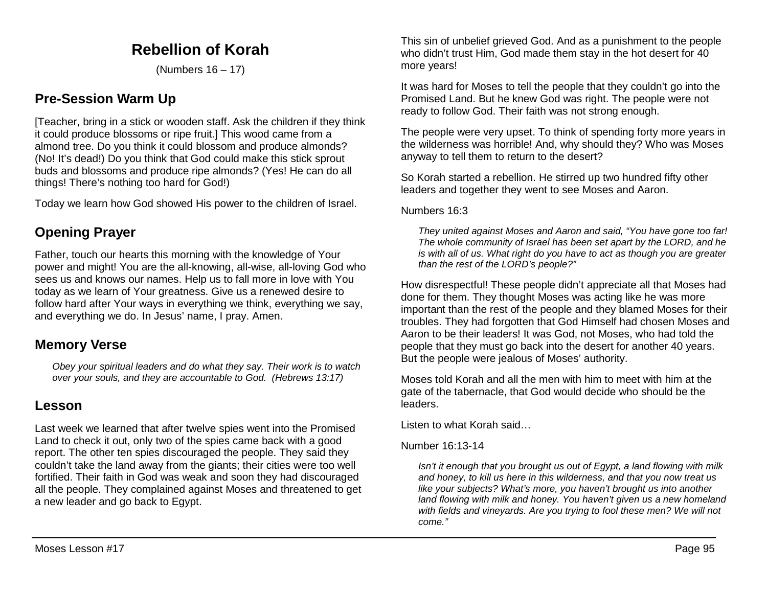# **Rebellion of Korah**

(Numbers 16 – 17)

# **Pre-Session Warm Up**

[Teacher, bring in a stick or wooden staff. Ask the children if they think it could produce blossoms or ripe fruit.] This wood came from a almond tree. Do you think it could blossom and produce almonds? (No! It's dead!) Do you think that God could make this stick sprout buds and blossoms and produce ripe almonds? (Yes! He can do all things! There's nothing too hard for God!)

Today we learn how God showed His power to the children of Israel.

# **Opening Prayer**

Father, touch our hearts this morning with the knowledge of Your power and might! You are the all-knowing, all-wise, all-loving God who sees us and knows our names. Help us to fall more in love with You today as we learn of Your greatness. Give us a renewed desire to follow hard after Your ways in everything we think, everything we say, and everything we do. In Jesus' name, I pray. Amen.

## **Memory Verse**

*Obey your spiritual leaders and do what they say. Their work is to watch over your souls, and they are accountable to God. (Hebrews 13:17)*

# **Lesson**

Last week we learned that after twelve spies went into the Promised Land to check it out, only two of the spies came back with a good report. The other ten spies discouraged the people. They said they couldn't take the land away from the giants; their cities were too well fortified. Their faith in God was weak and soon they had discouraged all the people. They complained against Moses and threatened to get a new leader and go back to Egypt.

This sin of unbelief grieved God. And as a punishment to the people who didn't trust Him, God made them stay in the hot desert for 40 more years!

It was hard for Moses to tell the people that they couldn't go into the Promised Land. But he knew God was right. The people were not ready to follow God. Their faith was not strong enough.

The people were very upset. To think of spending forty more years in the wilderness was horrible! And, why should they? Who was Moses anyway to tell them to return to the desert?

So Korah started a rebellion. He stirred up two hundred fifty other leaders and together they went to see Moses and Aaron.

Numbers 16:3

*They united against Moses and Aaron and said, "You have gone too far! The whole community of Israel has been set apart by the LORD, and he is with all of us. What right do you have to act as though you are greater than the rest of the LORD's people?"*

How disrespectful! These people didn't appreciate all that Moses had done for them. They thought Moses was acting like he was more important than the rest of the people and they blamed Moses for their troubles. They had forgotten that God Himself had chosen Moses and Aaron to be their leaders! It was God, not Moses, who had told the people that they must go back into the desert for another 40 years. But the people were jealous of Moses' authority.

Moses told Korah and all the men with him to meet with him at the gate of the tabernacle, that God would decide who should be the leaders.

Listen to what Korah said…

#### Number 16:13-14

*Isn't it enough that you brought us out of Egypt, a land flowing with milk and honey, to kill us here in this wilderness, and that you now treat us like your subjects? What's more, you haven't brought us into another land flowing with milk and honey. You haven't given us a new homeland with fields and vineyards. Are you trying to fool these men? We will not come."*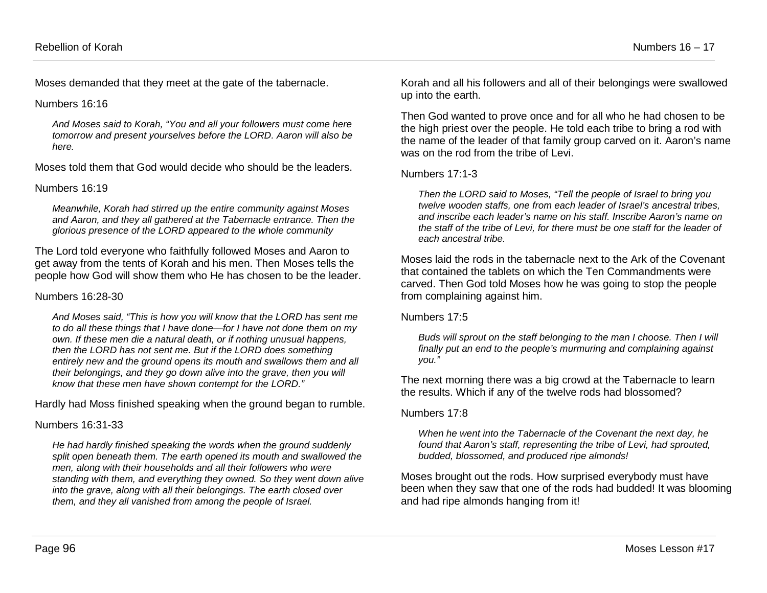Moses demanded that they meet at the gate of the tabernacle.

Numbers 16:16

*And Moses said to Korah, "You and all your followers must come here tomorrow and present yourselves before the LORD. Aaron will also be here.*

Moses told them that God would decide who should be the leaders.

#### Numbers 16:19

*Meanwhile, Korah had stirred up the entire community against Moses and Aaron, and they all gathered at the Tabernacle entrance. Then the glorious presence of the LORD appeared to the whole community*

The Lord told everyone who faithfully followed Moses and Aaron to get away from the tents of Korah and his men. Then Moses tells the people how God will show them who He has chosen to be the leader.

#### Numbers 16:28-30

*And Moses said, "This is how you will know that the LORD has sent me to do all these things that I have done—for I have not done them on my own. If these men die a natural death, or if nothing unusual happens, then the LORD has not sent me. But if the LORD does something entirely new and the ground opens its mouth and swallows them and all their belongings, and they go down alive into the grave, then you will know that these men have shown contempt for the LORD."* 

Hardly had Moss finished speaking when the ground began to rumble.

### Numbers 16:31-33

*He had hardly finished speaking the words when the ground suddenly split open beneath them. The earth opened its mouth and swallowed the men, along with their households and all their followers who were standing with them, and everything they owned. So they went down alive into the grave, along with all their belongings. The earth closed over them, and they all vanished from among the people of Israel.* 

Korah and all his followers and all of their belongings were swallowed up into the earth.

Then God wanted to prove once and for all who he had chosen to be the high priest over the people. He told each tribe to bring a rod with the name of the leader of that family group carved on it. Aaron's name was on the rod from the tribe of Levi.

### Numbers 17:1-3

*Then the LORD said to Moses, "Tell the people of Israel to bring you twelve wooden staffs, one from each leader of Israel's ancestral tribes, and inscribe each leader's name on his staff. Inscribe Aaron's name on the staff of the tribe of Levi, for there must be one staff for the leader of each ancestral tribe.* 

Moses laid the rods in the tabernacle next to the Ark of the Covenant that contained the tablets on which the Ten Commandments were carved. Then God told Moses how he was going to stop the people from complaining against him.

#### Numbers 17:5

*Buds will sprout on the staff belonging to the man I choose. Then I will finally put an end to the people's murmuring and complaining against you."*

The next morning there was a big crowd at the Tabernacle to learn the results. Which if any of the twelve rods had blossomed?

### Numbers 17:8

*When he went into the Tabernacle of the Covenant the next day, he found that Aaron's staff, representing the tribe of Levi, had sprouted, budded, blossomed, and produced ripe almonds!*

Moses brought out the rods. How surprised everybody must have been when they saw that one of the rods had budded! It was blooming and had ripe almonds hanging from it!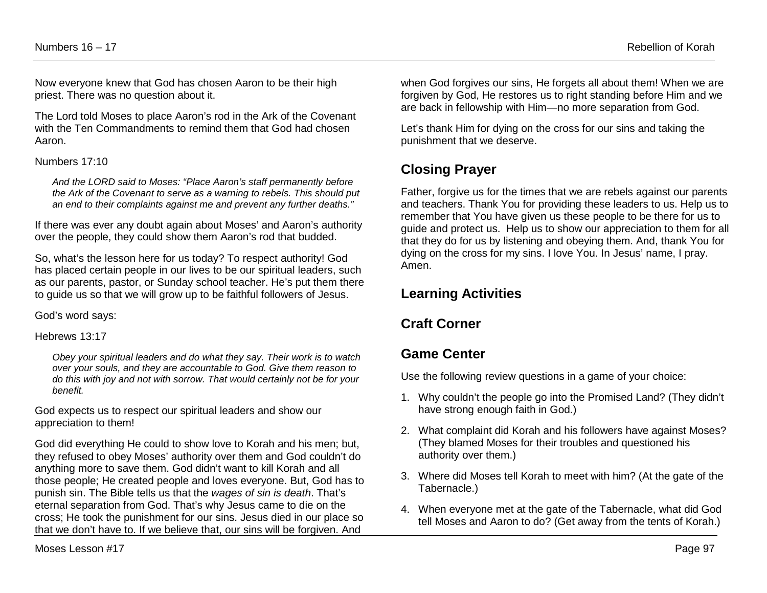Now everyone knew that God has chosen Aaron to be their high priest. There was no question about it.

The Lord told Moses to place Aaron's rod in the Ark of the Covenant with the Ten Commandments to remind them that God had chosen Aaron.

#### Numbers 17:10

*And the LORD said to Moses: "Place Aaron's staff permanently before the Ark of the Covenant to serve as a warning to rebels. This should put an end to their complaints against me and prevent any further deaths."* 

If there was ever any doubt again about Moses' and Aaron's authority over the people, they could show them Aaron's rod that budded.

So, what's the lesson here for us today? To respect authority! God has placed certain people in our lives to be our spiritual leaders, such as our parents, pastor, or Sunday school teacher. He's put them there to guide us so that we will grow up to be faithful followers of Jesus.

God's word says:

#### Hebrews 13:17

*Obey your spiritual leaders and do what they say. Their work is to watch over your souls, and they are accountable to God. Give them reason to do this with joy and not with sorrow. That would certainly not be for your benefit.* 

God expects us to respect our spiritual leaders and show our appreciation to them!

God did everything He could to show love to Korah and his men; but, they refused to obey Moses' authority over them and God couldn't do anything more to save them. God didn't want to kill Korah and all those people; He created people and loves everyone. But, God has to punish sin. The Bible tells us that the *wages of sin is death*. That's eternal separation from God. That's why Jesus came to die on the cross; He took the punishment for our sins. Jesus died in our place so that we don't have to. If we believe that, our sins will be forgiven. And

when God forgives our sins, He forgets all about them! When we are forgiven by God, He restores us to right standing before Him and we are back in fellowship with Him—no more separation from God.

Let's thank Him for dying on the cross for our sins and taking the punishment that we deserve.

# **Closing Prayer**

Father, forgive us for the times that we are rebels against our parents and teachers. Thank You for providing these leaders to us. Help us to remember that You have given us these people to be there for us to guide and protect us. Help us to show our appreciation to them for all that they do for us by listening and obeying them. And, thank You for dying on the cross for my sins. I love You. In Jesus' name, I pray. Amen.

## **Learning Activities**

## **Craft Corner**

## **Game Center**

Use the following review questions in a game of your choice:

- 1. Why couldn't the people go into the Promised Land? (They didn't have strong enough faith in God.)
- 2. What complaint did Korah and his followers have against Moses? (They blamed Moses for their troubles and questioned his authority over them.)
- 3. Where did Moses tell Korah to meet with him? (At the gate of the Tabernacle.)
- 4. When everyone met at the gate of the Tabernacle, what did God tell Moses and Aaron to do? (Get away from the tents of Korah.)